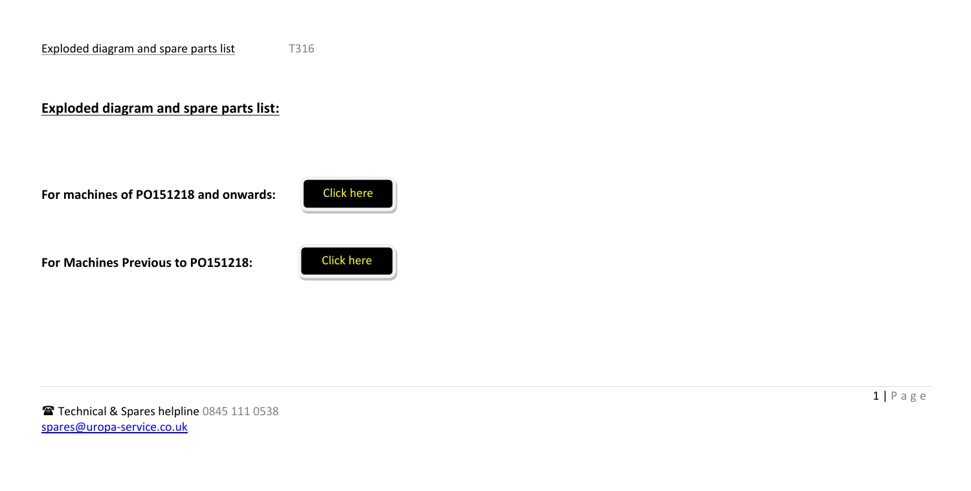## **Exploded diagram and spare parts list:**

**For machines of PO151218 and onwards:** 



**For Machines Previous to PO151218:**



Technical & Spares helpline 0845 111 0538 spares@uropa-service.co.uk

 $1 | P$  a g e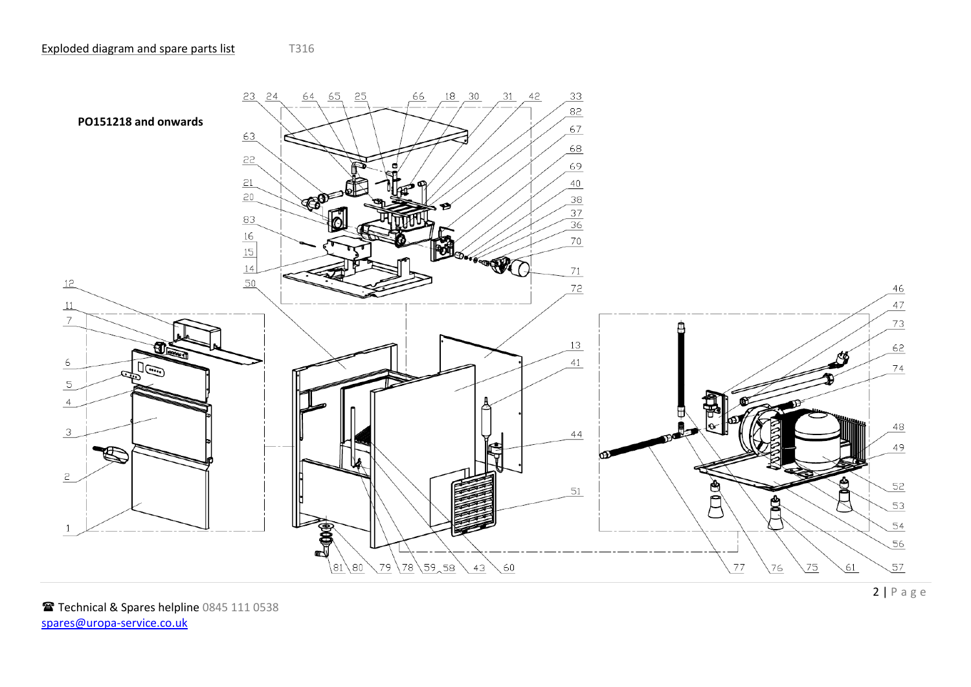<span id="page-1-0"></span>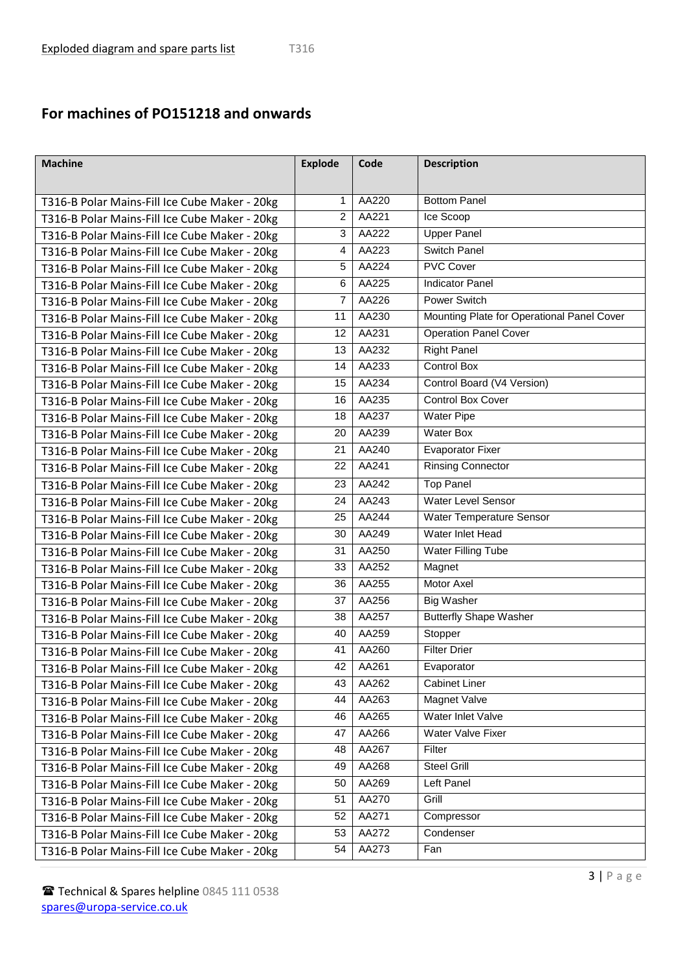## **For machines of PO151218 and onwards**

| <b>Machine</b>                                | <b>Explode</b> | Code  | <b>Description</b>                         |
|-----------------------------------------------|----------------|-------|--------------------------------------------|
|                                               |                |       |                                            |
| T316-B Polar Mains-Fill Ice Cube Maker - 20kg | 1              | AA220 | <b>Bottom Panel</b>                        |
| T316-B Polar Mains-Fill Ice Cube Maker - 20kg | 2              | AA221 | Ice Scoop                                  |
| T316-B Polar Mains-Fill Ice Cube Maker - 20kg | 3              | AA222 | <b>Upper Panel</b>                         |
| T316-B Polar Mains-Fill Ice Cube Maker - 20kg | 4              | AA223 | Switch Panel                               |
| T316-B Polar Mains-Fill Ice Cube Maker - 20kg | 5              | AA224 | <b>PVC Cover</b>                           |
| T316-B Polar Mains-Fill Ice Cube Maker - 20kg | 6              | AA225 | <b>Indicator Panel</b>                     |
| T316-B Polar Mains-Fill Ice Cube Maker - 20kg | $\overline{7}$ | AA226 | <b>Power Switch</b>                        |
| T316-B Polar Mains-Fill Ice Cube Maker - 20kg | 11             | AA230 | Mounting Plate for Operational Panel Cover |
| T316-B Polar Mains-Fill Ice Cube Maker - 20kg | 12             | AA231 | <b>Operation Panel Cover</b>               |
| T316-B Polar Mains-Fill Ice Cube Maker - 20kg | 13             | AA232 | <b>Right Panel</b>                         |
| T316-B Polar Mains-Fill Ice Cube Maker - 20kg | 14             | AA233 | <b>Control Box</b>                         |
| T316-B Polar Mains-Fill Ice Cube Maker - 20kg | 15             | AA234 | Control Board (V4 Version)                 |
| T316-B Polar Mains-Fill Ice Cube Maker - 20kg | 16             | AA235 | <b>Control Box Cover</b>                   |
| T316-B Polar Mains-Fill Ice Cube Maker - 20kg | 18             | AA237 | <b>Water Pipe</b>                          |
| T316-B Polar Mains-Fill Ice Cube Maker - 20kg | 20             | AA239 | <b>Water Box</b>                           |
| T316-B Polar Mains-Fill Ice Cube Maker - 20kg | 21             | AA240 | <b>Evaporator Fixer</b>                    |
| T316-B Polar Mains-Fill Ice Cube Maker - 20kg | 22             | AA241 | <b>Rinsing Connector</b>                   |
| T316-B Polar Mains-Fill Ice Cube Maker - 20kg | 23             | AA242 | <b>Top Panel</b>                           |
| T316-B Polar Mains-Fill Ice Cube Maker - 20kg | 24             | AA243 | Water Level Sensor                         |
| T316-B Polar Mains-Fill Ice Cube Maker - 20kg | 25             | AA244 | Water Temperature Sensor                   |
| T316-B Polar Mains-Fill Ice Cube Maker - 20kg | 30             | AA249 | Water Inlet Head                           |
| T316-B Polar Mains-Fill Ice Cube Maker - 20kg | 31             | AA250 | Water Filling Tube                         |
| T316-B Polar Mains-Fill Ice Cube Maker - 20kg | 33             | AA252 | Magnet                                     |
| T316-B Polar Mains-Fill Ice Cube Maker - 20kg | 36             | AA255 | Motor Axel                                 |
| T316-B Polar Mains-Fill Ice Cube Maker - 20kg | 37             | AA256 | <b>Big Washer</b>                          |
| T316-B Polar Mains-Fill Ice Cube Maker - 20kg | 38             | AA257 | <b>Butterfly Shape Washer</b>              |
| T316-B Polar Mains-Fill Ice Cube Maker - 20kg | 40             | AA259 | Stopper                                    |
| T316-B Polar Mains-Fill Ice Cube Maker - 20kg | 41             | AA260 | <b>Filter Drier</b>                        |
| T316-B Polar Mains-Fill Ice Cube Maker - 20kg | 42             | AA261 | Evaporator                                 |
| T316-B Polar Mains-Fill Ice Cube Maker - 20kg | 43             | AA262 | <b>Cabinet Liner</b>                       |
| T316-B Polar Mains-Fill Ice Cube Maker - 20kg | 44             | AA263 | Magnet Valve                               |
| T316-B Polar Mains-Fill Ice Cube Maker - 20kg | 46             | AA265 | Water Inlet Valve                          |
| T316-B Polar Mains-Fill Ice Cube Maker - 20kg | 47             | AA266 | Water Valve Fixer                          |
| T316-B Polar Mains-Fill Ice Cube Maker - 20kg | 48             | AA267 | Filter                                     |
| T316-B Polar Mains-Fill Ice Cube Maker - 20kg | 49             | AA268 | Steel Grill                                |
| T316-B Polar Mains-Fill Ice Cube Maker - 20kg | 50             | AA269 | Left Panel                                 |
| T316-B Polar Mains-Fill Ice Cube Maker - 20kg | 51             | AA270 | Grill                                      |
| T316-B Polar Mains-Fill Ice Cube Maker - 20kg | 52             | AA271 | Compressor                                 |
| T316-B Polar Mains-Fill Ice Cube Maker - 20kg | 53             | AA272 | Condenser                                  |
| T316-B Polar Mains-Fill Ice Cube Maker - 20kg | 54             | AA273 | Fan                                        |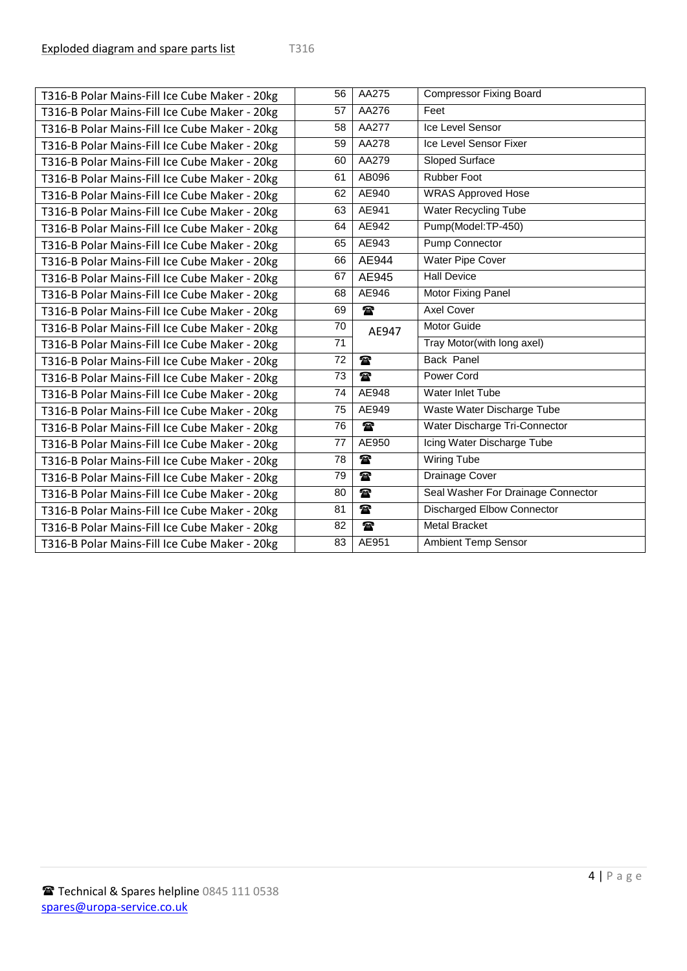| T316-B Polar Mains-Fill Ice Cube Maker - 20kg | 56 | AA275        | <b>Compressor Fixing Board</b>     |
|-----------------------------------------------|----|--------------|------------------------------------|
| T316-B Polar Mains-Fill Ice Cube Maker - 20kg | 57 | AA276        | Feet                               |
| T316-B Polar Mains-Fill Ice Cube Maker - 20kg | 58 | AA277        | Ice Level Sensor                   |
| T316-B Polar Mains-Fill Ice Cube Maker - 20kg | 59 | <b>AA278</b> | Ice Level Sensor Fixer             |
| T316-B Polar Mains-Fill Ice Cube Maker - 20kg | 60 | AA279        | Sloped Surface                     |
| T316-B Polar Mains-Fill Ice Cube Maker - 20kg | 61 | AB096        | <b>Rubber Foot</b>                 |
| T316-B Polar Mains-Fill Ice Cube Maker - 20kg | 62 | AE940        | <b>WRAS Approved Hose</b>          |
| T316-B Polar Mains-Fill Ice Cube Maker - 20kg | 63 | AE941        | <b>Water Recycling Tube</b>        |
| T316-B Polar Mains-Fill Ice Cube Maker - 20kg | 64 | AE942        | Pump(Model:TP-450)                 |
| T316-B Polar Mains-Fill Ice Cube Maker - 20kg | 65 | AE943        | <b>Pump Connector</b>              |
| T316-B Polar Mains-Fill Ice Cube Maker - 20kg | 66 | AE944        | <b>Water Pipe Cover</b>            |
| T316-B Polar Mains-Fill Ice Cube Maker - 20kg | 67 | AE945        | <b>Hall Device</b>                 |
| T316-B Polar Mains-Fill Ice Cube Maker - 20kg | 68 | AE946        | Motor Fixing Panel                 |
| T316-B Polar Mains-Fill Ice Cube Maker - 20kg | 69 | $\mathbf{r}$ | <b>Axel Cover</b>                  |
| T316-B Polar Mains-Fill Ice Cube Maker - 20kg | 70 | AE947        | Motor Guide                        |
| T316-B Polar Mains-Fill Ice Cube Maker - 20kg | 71 |              | Tray Motor(with long axel)         |
| T316-B Polar Mains-Fill Ice Cube Maker - 20kg | 72 | $\mathbf{r}$ | <b>Back Panel</b>                  |
| T316-B Polar Mains-Fill Ice Cube Maker - 20kg | 73 | $\mathbf{r}$ | Power Cord                         |
| T316-B Polar Mains-Fill Ice Cube Maker - 20kg | 74 | AE948        | Water Inlet Tube                   |
| T316-B Polar Mains-Fill Ice Cube Maker - 20kg | 75 | AE949        | Waste Water Discharge Tube         |
| T316-B Polar Mains-Fill Ice Cube Maker - 20kg | 76 | $\mathbf{r}$ | Water Discharge Tri-Connector      |
| T316-B Polar Mains-Fill Ice Cube Maker - 20kg | 77 | AE950        | Icing Water Discharge Tube         |
| T316-B Polar Mains-Fill Ice Cube Maker - 20kg | 78 | $\mathbf{r}$ | <b>Wiring Tube</b>                 |
| T316-B Polar Mains-Fill Ice Cube Maker - 20kg | 79 | $\mathbf{r}$ | Drainage Cover                     |
| T316-B Polar Mains-Fill Ice Cube Maker - 20kg | 80 | $\mathbf{r}$ | Seal Washer For Drainage Connector |
| T316-B Polar Mains-Fill Ice Cube Maker - 20kg | 81 | $\mathbf{r}$ | <b>Discharged Elbow Connector</b>  |
| T316-B Polar Mains-Fill Ice Cube Maker - 20kg | 82 | $\mathbf{r}$ | <b>Metal Bracket</b>               |
| T316-B Polar Mains-Fill Ice Cube Maker - 20kg | 83 | AE951        | <b>Ambient Temp Sensor</b>         |
|                                               |    |              |                                    |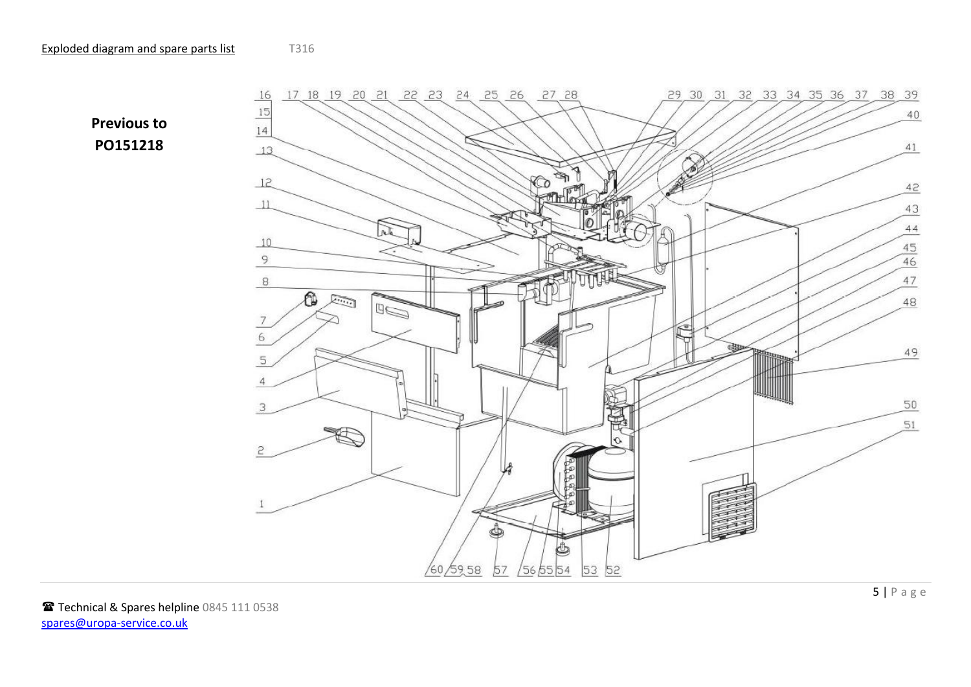<span id="page-4-0"></span>**Previous to PO151218**

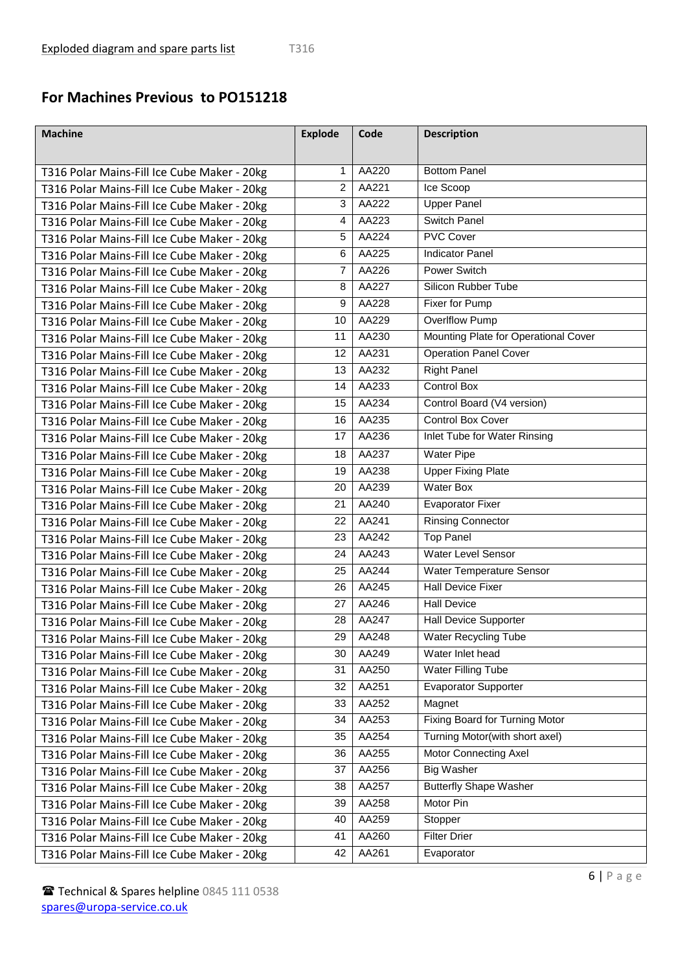## **For Machines Previous to PO151218**

| <b>Machine</b>                                                                             | <b>Explode</b> | Code  | <b>Description</b>                   |
|--------------------------------------------------------------------------------------------|----------------|-------|--------------------------------------|
|                                                                                            | $\mathbf{1}$   | AA220 | <b>Bottom Panel</b>                  |
| T316 Polar Mains-Fill Ice Cube Maker - 20kg                                                | 2              | AA221 | Ice Scoop                            |
| T316 Polar Mains-Fill Ice Cube Maker - 20kg                                                | 3              | AA222 | <b>Upper Panel</b>                   |
| T316 Polar Mains-Fill Ice Cube Maker - 20kg                                                | 4              | AA223 | <b>Switch Panel</b>                  |
| T316 Polar Mains-Fill Ice Cube Maker - 20kg                                                | 5              | AA224 | <b>PVC Cover</b>                     |
| T316 Polar Mains-Fill Ice Cube Maker - 20kg                                                | 6              | AA225 | <b>Indicator Panel</b>               |
| T316 Polar Mains-Fill Ice Cube Maker - 20kg                                                | $\overline{7}$ | AA226 | <b>Power Switch</b>                  |
| T316 Polar Mains-Fill Ice Cube Maker - 20kg                                                | 8              | AA227 | Silicon Rubber Tube                  |
| T316 Polar Mains-Fill Ice Cube Maker - 20kg                                                | 9              | AA228 | Fixer for Pump                       |
| T316 Polar Mains-Fill Ice Cube Maker - 20kg                                                | 10             | AA229 | <b>Overlflow Pump</b>                |
| T316 Polar Mains-Fill Ice Cube Maker - 20kg                                                | 11             | AA230 | Mounting Plate for Operational Cover |
| T316 Polar Mains-Fill Ice Cube Maker - 20kg                                                | 12             | AA231 | <b>Operation Panel Cover</b>         |
| T316 Polar Mains-Fill Ice Cube Maker - 20kg<br>T316 Polar Mains-Fill Ice Cube Maker - 20kg | 13             | AA232 | <b>Right Panel</b>                   |
| T316 Polar Mains-Fill Ice Cube Maker - 20kg                                                | 14             | AA233 | <b>Control Box</b>                   |
| T316 Polar Mains-Fill Ice Cube Maker - 20kg                                                | 15             | AA234 | Control Board (V4 version)           |
| T316 Polar Mains-Fill Ice Cube Maker - 20kg                                                | 16             | AA235 | Control Box Cover                    |
| T316 Polar Mains-Fill Ice Cube Maker - 20kg                                                | 17             | AA236 | Inlet Tube for Water Rinsing         |
|                                                                                            | 18             | AA237 | <b>Water Pipe</b>                    |
| T316 Polar Mains-Fill Ice Cube Maker - 20kg                                                | 19             | AA238 | <b>Upper Fixing Plate</b>            |
| T316 Polar Mains-Fill Ice Cube Maker - 20kg                                                | 20             | AA239 | <b>Water Box</b>                     |
| T316 Polar Mains-Fill Ice Cube Maker - 20kg                                                | 21             | AA240 | <b>Evaporator Fixer</b>              |
| T316 Polar Mains-Fill Ice Cube Maker - 20kg                                                | 22             | AA241 | <b>Rinsing Connector</b>             |
| T316 Polar Mains-Fill Ice Cube Maker - 20kg                                                | 23             | AA242 | <b>Top Panel</b>                     |
| T316 Polar Mains-Fill Ice Cube Maker - 20kg                                                | 24             | AA243 | Water Level Sensor                   |
| T316 Polar Mains-Fill Ice Cube Maker - 20kg<br>T316 Polar Mains-Fill Ice Cube Maker - 20kg | 25             | AA244 | Water Temperature Sensor             |
|                                                                                            | 26             | AA245 | <b>Hall Device Fixer</b>             |
| T316 Polar Mains-Fill Ice Cube Maker - 20kg                                                | 27             | AA246 | <b>Hall Device</b>                   |
| T316 Polar Mains-Fill Ice Cube Maker - 20kg                                                | 28             | AA247 | <b>Hall Device Supporter</b>         |
| T316 Polar Mains-Fill Ice Cube Maker - 20kg                                                | 29             | AA248 | <b>Water Recycling Tube</b>          |
| T316 Polar Mains-Fill Ice Cube Maker - 20kg                                                | 30             | AA249 | Water Inlet head                     |
| T316 Polar Mains-Fill Ice Cube Maker - 20kg                                                | 31             | AA250 | Water Filling Tube                   |
| T316 Polar Mains-Fill Ice Cube Maker - 20kg                                                | 32             | AA251 | <b>Evaporator Supporter</b>          |
| T316 Polar Mains-Fill Ice Cube Maker - 20kg                                                | 33             | AA252 | Magnet                               |
| T316 Polar Mains-Fill Ice Cube Maker - 20kg<br>T316 Polar Mains-Fill Ice Cube Maker - 20kg | 34             | AA253 | Fixing Board for Turning Motor       |
|                                                                                            | 35             | AA254 | Turning Motor(with short axel)       |
| T316 Polar Mains-Fill Ice Cube Maker - 20kg                                                | 36             | AA255 | Motor Connecting Axel                |
| T316 Polar Mains-Fill Ice Cube Maker - 20kg                                                | 37             | AA256 | <b>Big Washer</b>                    |
| T316 Polar Mains-Fill Ice Cube Maker - 20kg                                                | 38             | AA257 | <b>Butterfly Shape Washer</b>        |
| T316 Polar Mains-Fill Ice Cube Maker - 20kg                                                | 39             | AA258 | Motor Pin                            |
| T316 Polar Mains-Fill Ice Cube Maker - 20kg                                                | 40             | AA259 | Stopper                              |
| T316 Polar Mains-Fill Ice Cube Maker - 20kg                                                | 41             | AA260 | <b>Filter Drier</b>                  |
| T316 Polar Mains-Fill Ice Cube Maker - 20kg                                                | 42             | AA261 | Evaporator                           |
| T316 Polar Mains-Fill Ice Cube Maker - 20kg                                                |                |       |                                      |